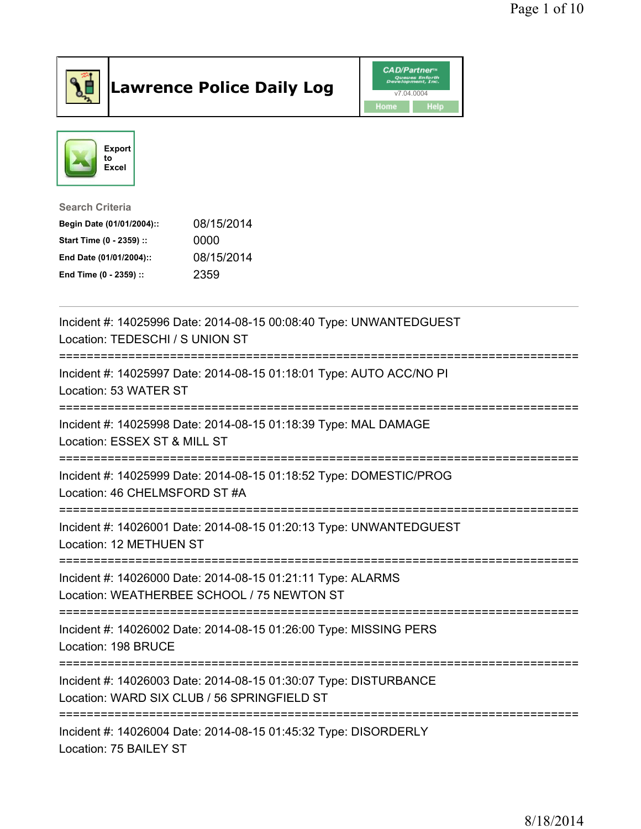

## Lawrence Police Daily Log Value of the CAD/Partner





## Search Criteria

| Begin Date (01/01/2004):: | 08/15/2014 |
|---------------------------|------------|
| Start Time (0 - 2359) ::  | 0000       |
| End Date (01/01/2004)::   | 08/15/2014 |
| End Time (0 - 2359) ::    | 2359       |

| Incident #: 14025996 Date: 2014-08-15 00:08:40 Type: UNWANTEDGUEST<br>Location: TEDESCHI / S UNION ST                                              |
|----------------------------------------------------------------------------------------------------------------------------------------------------|
| Incident #: 14025997 Date: 2014-08-15 01:18:01 Type: AUTO ACC/NO PI<br>Location: 53 WATER ST<br>--------------                                     |
| Incident #: 14025998 Date: 2014-08-15 01:18:39 Type: MAL DAMAGE<br>Location: ESSEX ST & MILL ST                                                    |
| Incident #: 14025999 Date: 2014-08-15 01:18:52 Type: DOMESTIC/PROG<br>Location: 46 CHELMSFORD ST #A                                                |
| Incident #: 14026001 Date: 2014-08-15 01:20:13 Type: UNWANTEDGUEST<br>Location: 12 METHUEN ST                                                      |
| Incident #: 14026000 Date: 2014-08-15 01:21:11 Type: ALARMS<br>Location: WEATHERBEE SCHOOL / 75 NEWTON ST                                          |
| Incident #: 14026002 Date: 2014-08-15 01:26:00 Type: MISSING PERS<br>Location: 198 BRUCE                                                           |
| Incident #: 14026003 Date: 2014-08-15 01:30:07 Type: DISTURBANCE<br>Location: WARD SIX CLUB / 56 SPRINGFIELD ST<br>:============================== |
| Incident #: 14026004 Date: 2014-08-15 01:45:32 Type: DISORDERLY<br>Location: 75 BAILEY ST                                                          |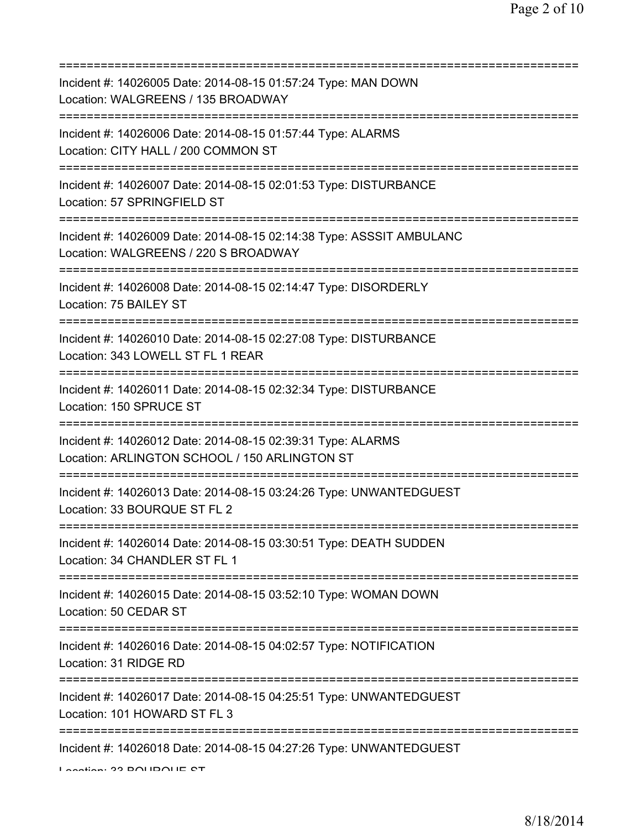| Incident #: 14026005 Date: 2014-08-15 01:57:24 Type: MAN DOWN<br>Location: WALGREENS / 135 BROADWAY                              |
|----------------------------------------------------------------------------------------------------------------------------------|
| Incident #: 14026006 Date: 2014-08-15 01:57:44 Type: ALARMS<br>Location: CITY HALL / 200 COMMON ST                               |
| Incident #: 14026007 Date: 2014-08-15 02:01:53 Type: DISTURBANCE<br>Location: 57 SPRINGFIELD ST                                  |
| Incident #: 14026009 Date: 2014-08-15 02:14:38 Type: ASSSIT AMBULANC<br>Location: WALGREENS / 220 S BROADWAY                     |
| :==================================<br>Incident #: 14026008 Date: 2014-08-15 02:14:47 Type: DISORDERLY<br>Location: 75 BAILEY ST |
| Incident #: 14026010 Date: 2014-08-15 02:27:08 Type: DISTURBANCE<br>Location: 343 LOWELL ST FL 1 REAR                            |
| Incident #: 14026011 Date: 2014-08-15 02:32:34 Type: DISTURBANCE<br>Location: 150 SPRUCE ST                                      |
| Incident #: 14026012 Date: 2014-08-15 02:39:31 Type: ALARMS<br>Location: ARLINGTON SCHOOL / 150 ARLINGTON ST                     |
| Incident #: 14026013 Date: 2014-08-15 03:24:26 Type: UNWANTEDGUEST<br>Location: 33 BOURQUE ST FL 2                               |
| Incident #: 14026014 Date: 2014-08-15 03:30:51 Type: DEATH SUDDEN<br>Location: 34 CHANDLER ST FL 1                               |
| Incident #: 14026015 Date: 2014-08-15 03:52:10 Type: WOMAN DOWN<br>Location: 50 CEDAR ST                                         |
| Incident #: 14026016 Date: 2014-08-15 04:02:57 Type: NOTIFICATION<br>Location: 31 RIDGE RD                                       |
| Incident #: 14026017 Date: 2014-08-15 04:25:51 Type: UNWANTEDGUEST<br>Location: 101 HOWARD ST FL 3                               |
| Incident #: 14026018 Date: 2014-08-15 04:27:26 Type: UNWANTEDGUEST                                                               |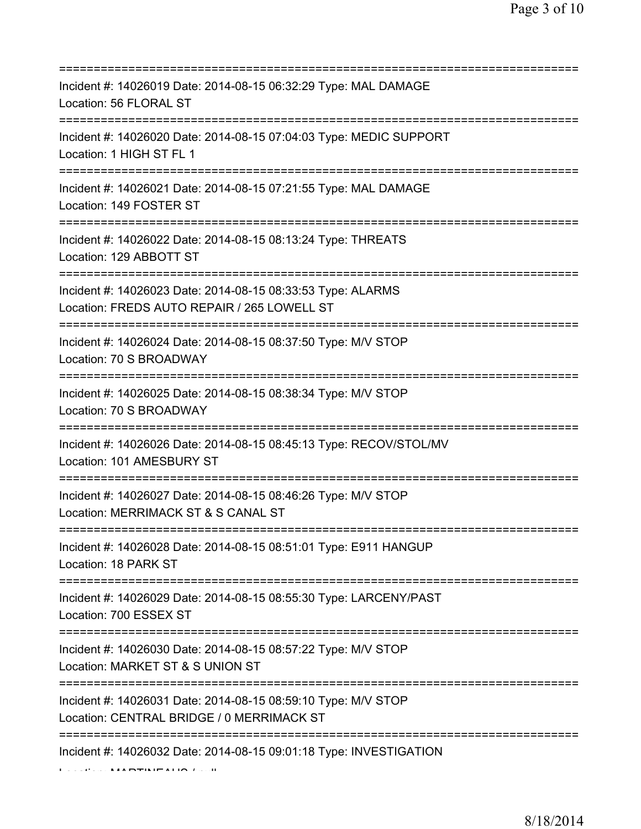| Incident #: 14026019 Date: 2014-08-15 06:32:29 Type: MAL DAMAGE<br>Location: 56 FLORAL ST                                           |
|-------------------------------------------------------------------------------------------------------------------------------------|
| Incident #: 14026020 Date: 2014-08-15 07:04:03 Type: MEDIC SUPPORT<br>Location: 1 HIGH ST FL 1                                      |
| Incident #: 14026021 Date: 2014-08-15 07:21:55 Type: MAL DAMAGE<br>Location: 149 FOSTER ST                                          |
| Incident #: 14026022 Date: 2014-08-15 08:13:24 Type: THREATS<br>Location: 129 ABBOTT ST                                             |
| Incident #: 14026023 Date: 2014-08-15 08:33:53 Type: ALARMS<br>Location: FREDS AUTO REPAIR / 265 LOWELL ST                          |
| Incident #: 14026024 Date: 2014-08-15 08:37:50 Type: M/V STOP<br>Location: 70 S BROADWAY                                            |
| Incident #: 14026025 Date: 2014-08-15 08:38:34 Type: M/V STOP<br>Location: 70 S BROADWAY                                            |
| Incident #: 14026026 Date: 2014-08-15 08:45:13 Type: RECOV/STOL/MV<br>Location: 101 AMESBURY ST<br>============                     |
| Incident #: 14026027 Date: 2014-08-15 08:46:26 Type: M/V STOP<br>Location: MERRIMACK ST & S CANAL ST                                |
| Incident #: 14026028 Date: 2014-08-15 08:51:01 Type: E911 HANGUP<br>Location: 18 PARK ST                                            |
| Incident #: 14026029 Date: 2014-08-15 08:55:30 Type: LARCENY/PAST<br>Location: 700 ESSEX ST                                         |
| Incident #: 14026030 Date: 2014-08-15 08:57:22 Type: M/V STOP<br>Location: MARKET ST & S UNION ST                                   |
| =====================<br>Incident #: 14026031 Date: 2014-08-15 08:59:10 Type: M/V STOP<br>Location: CENTRAL BRIDGE / 0 MERRIMACK ST |
| Incident #: 14026032 Date: 2014-08-15 09:01:18 Type: INVESTIGATION                                                                  |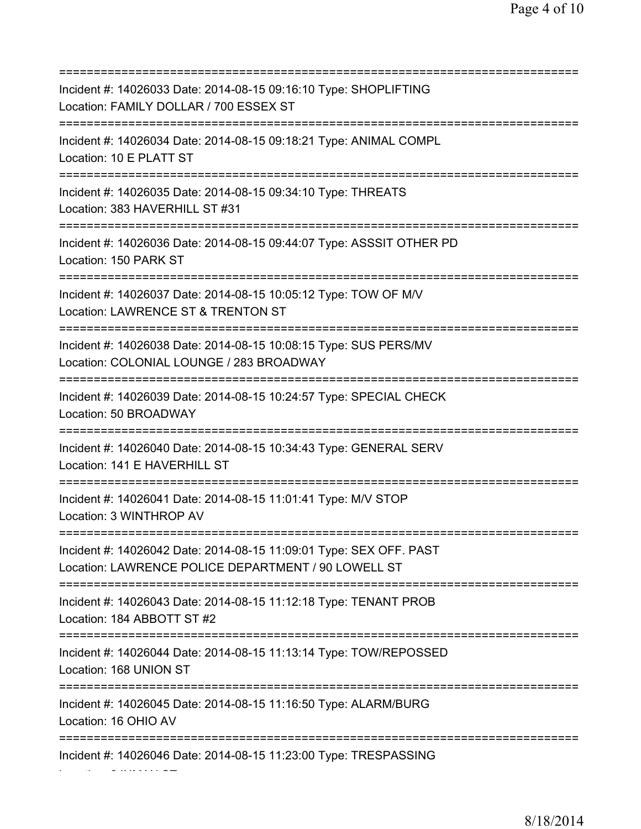=========================================================================== Incident #: 14026033 Date: 2014-08-15 09:16:10 Type: SHOPLIFTING Location: FAMILY DOLLAR / 700 ESSEX ST =========================================================================== Incident #: 14026034 Date: 2014-08-15 09:18:21 Type: ANIMAL COMPL Location: 10 E PLATT ST =========================================================================== Incident #: 14026035 Date: 2014-08-15 09:34:10 Type: THREATS Location: 383 HAVERHILL ST #31 =========================================================================== Incident #: 14026036 Date: 2014-08-15 09:44:07 Type: ASSSIT OTHER PD Location: 150 PARK ST =========================================================================== Incident #: 14026037 Date: 2014-08-15 10:05:12 Type: TOW OF M/V Location: LAWRENCE ST & TRENTON ST =========================================================================== Incident #: 14026038 Date: 2014-08-15 10:08:15 Type: SUS PERS/MV Location: COLONIAL LOUNGE / 283 BROADWAY =========================================================================== Incident #: 14026039 Date: 2014-08-15 10:24:57 Type: SPECIAL CHECK Location: 50 BROADWAY =========================================================================== Incident #: 14026040 Date: 2014-08-15 10:34:43 Type: GENERAL SERV Location: 141 E HAVERHILL ST =========================================================================== Incident #: 14026041 Date: 2014-08-15 11:01:41 Type: M/V STOP Location: 3 WINTHROP AV =========================================================================== Incident #: 14026042 Date: 2014-08-15 11:09:01 Type: SEX OFF. PAST Location: LAWRENCE POLICE DEPARTMENT / 90 LOWELL ST =========================================================================== Incident #: 14026043 Date: 2014-08-15 11:12:18 Type: TENANT PROB Location: 184 ABBOTT ST #2 =========================================================================== Incident #: 14026044 Date: 2014-08-15 11:13:14 Type: TOW/REPOSSED Location: 168 UNION ST =========================================================================== Incident #: 14026045 Date: 2014-08-15 11:16:50 Type: ALARM/BURG Location: 16 OHIO AV =========================================================================== Incident #: 14026046 Date: 2014-08-15 11:23:00 Type: TRESPASSING

Location: 2 INMAN ST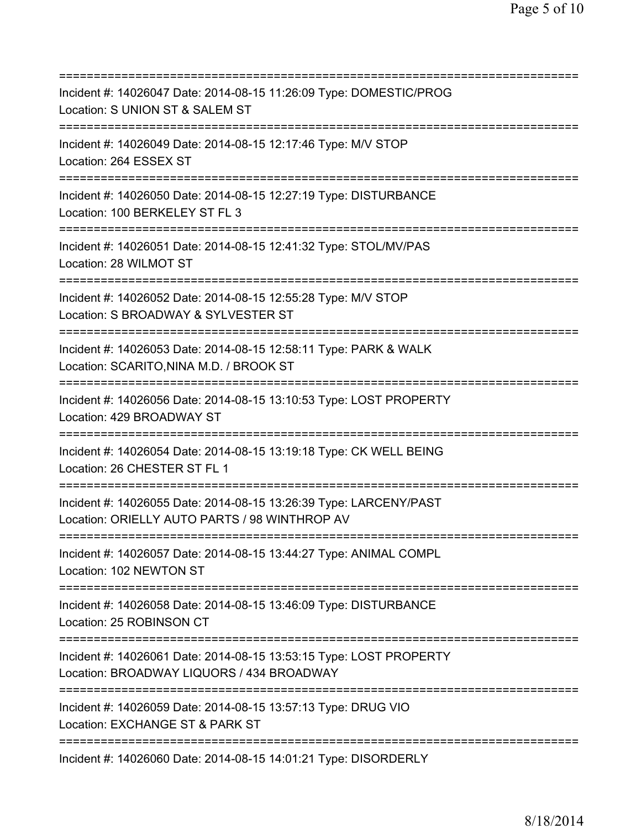=========================================================================== Incident #: 14026047 Date: 2014-08-15 11:26:09 Type: DOMESTIC/PROG Location: S UNION ST & SALEM ST =========================================================================== Incident #: 14026049 Date: 2014-08-15 12:17:46 Type: M/V STOP Location: 264 ESSEX ST =========================================================================== Incident #: 14026050 Date: 2014-08-15 12:27:19 Type: DISTURBANCE Location: 100 BERKELEY ST FL 3 =========================================================================== Incident #: 14026051 Date: 2014-08-15 12:41:32 Type: STOL/MV/PAS Location: 28 WILMOT ST =========================================================================== Incident #: 14026052 Date: 2014-08-15 12:55:28 Type: M/V STOP Location: S BROADWAY & SYLVESTER ST =========================================================================== Incident #: 14026053 Date: 2014-08-15 12:58:11 Type: PARK & WALK Location: SCARITO,NINA M.D. / BROOK ST =========================================================================== Incident #: 14026056 Date: 2014-08-15 13:10:53 Type: LOST PROPERTY Location: 429 BROADWAY ST =========================================================================== Incident #: 14026054 Date: 2014-08-15 13:19:18 Type: CK WELL BEING Location: 26 CHESTER ST FL 1 =========================================================================== Incident #: 14026055 Date: 2014-08-15 13:26:39 Type: LARCENY/PAST Location: ORIELLY AUTO PARTS / 98 WINTHROP AV =========================================================================== Incident #: 14026057 Date: 2014-08-15 13:44:27 Type: ANIMAL COMPL Location: 102 NEWTON ST =========================================================================== Incident #: 14026058 Date: 2014-08-15 13:46:09 Type: DISTURBANCE Location: 25 ROBINSON CT =========================================================================== Incident #: 14026061 Date: 2014-08-15 13:53:15 Type: LOST PROPERTY Location: BROADWAY LIQUORS / 434 BROADWAY =========================================================================== Incident #: 14026059 Date: 2014-08-15 13:57:13 Type: DRUG VIO Location: EXCHANGE ST & PARK ST =========================================================================== Incident #: 14026060 Date: 2014-08-15 14:01:21 Type: DISORDERLY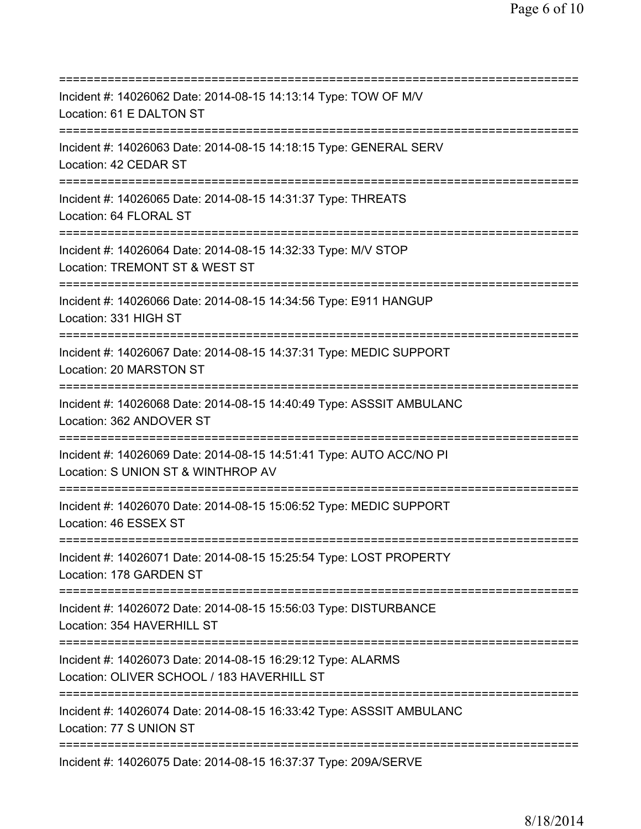| Incident #: 14026062 Date: 2014-08-15 14:13:14 Type: TOW OF M/V<br>Location: 61 E DALTON ST                                           |
|---------------------------------------------------------------------------------------------------------------------------------------|
| Incident #: 14026063 Date: 2014-08-15 14:18:15 Type: GENERAL SERV<br>Location: 42 CEDAR ST                                            |
| Incident #: 14026065 Date: 2014-08-15 14:31:37 Type: THREATS<br>Location: 64 FLORAL ST<br>=====================================       |
| Incident #: 14026064 Date: 2014-08-15 14:32:33 Type: M/V STOP<br>Location: TREMONT ST & WEST ST                                       |
| Incident #: 14026066 Date: 2014-08-15 14:34:56 Type: E911 HANGUP<br>Location: 331 HIGH ST<br>===============================          |
| Incident #: 14026067 Date: 2014-08-15 14:37:31 Type: MEDIC SUPPORT<br>Location: 20 MARSTON ST                                         |
| Incident #: 14026068 Date: 2014-08-15 14:40:49 Type: ASSSIT AMBULANC<br>Location: 362 ANDOVER ST<br>===============                   |
| Incident #: 14026069 Date: 2014-08-15 14:51:41 Type: AUTO ACC/NO PI<br>Location: S UNION ST & WINTHROP AV                             |
| Incident #: 14026070 Date: 2014-08-15 15:06:52 Type: MEDIC SUPPORT<br>Location: 46 ESSEX ST<br>=================================      |
| Incident #: 14026071 Date: 2014-08-15 15:25:54 Type: LOST PROPERTY<br>Location: 178 GARDEN ST<br>;=================================== |
| Incident #: 14026072 Date: 2014-08-15 15:56:03 Type: DISTURBANCE<br>Location: 354 HAVERHILL ST                                        |
| Incident #: 14026073 Date: 2014-08-15 16:29:12 Type: ALARMS<br>Location: OLIVER SCHOOL / 183 HAVERHILL ST                             |
| Incident #: 14026074 Date: 2014-08-15 16:33:42 Type: ASSSIT AMBULANC<br>Location: 77 S UNION ST                                       |
| Incident #: 14026075 Date: 2014-08-15 16:37:37 Type: 209A/SERVE                                                                       |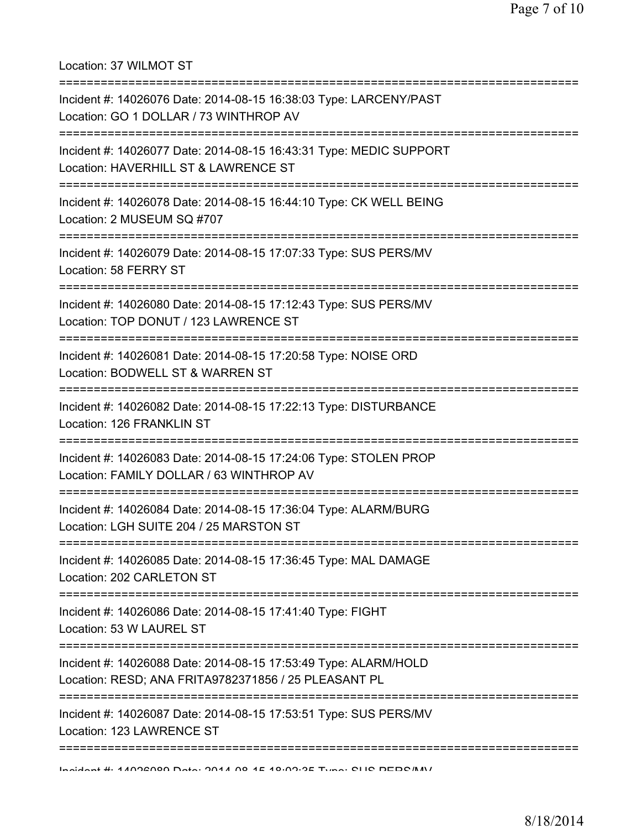Location: 37 WILMOT ST =========================================================================== Incident #: 14026076 Date: 2014-08-15 16:38:03 Type: LARCENY/PAST Location: GO 1 DOLLAR / 73 WINTHROP AV =========================================================================== Incident #: 14026077 Date: 2014-08-15 16:43:31 Type: MEDIC SUPPORT Location: HAVERHILL ST & LAWRENCE ST =========================================================================== Incident #: 14026078 Date: 2014-08-15 16:44:10 Type: CK WELL BEING Location: 2 MUSEUM SQ #707 =========================================================================== Incident #: 14026079 Date: 2014-08-15 17:07:33 Type: SUS PERS/MV Location: 58 FERRY ST =========================================================================== Incident #: 14026080 Date: 2014-08-15 17:12:43 Type: SUS PERS/MV Location: TOP DONUT / 123 LAWRENCE ST =========================================================================== Incident #: 14026081 Date: 2014-08-15 17:20:58 Type: NOISE ORD Location: BODWELL ST & WARREN ST =========================================================================== Incident #: 14026082 Date: 2014-08-15 17:22:13 Type: DISTURBANCE Location: 126 FRANKLIN ST =========================================================================== Incident #: 14026083 Date: 2014-08-15 17:24:06 Type: STOLEN PROP Location: FAMILY DOLLAR / 63 WINTHROP AV =========================================================================== Incident #: 14026084 Date: 2014-08-15 17:36:04 Type: ALARM/BURG Location: LGH SUITE 204 / 25 MARSTON ST =========================================================================== Incident #: 14026085 Date: 2014-08-15 17:36:45 Type: MAL DAMAGE Location: 202 CARLETON ST =========================================================================== Incident #: 14026086 Date: 2014-08-15 17:41:40 Type: FIGHT Location: 53 W LAUREL ST =========================================================================== Incident #: 14026088 Date: 2014-08-15 17:53:49 Type: ALARM/HOLD Location: RESD; ANA FRITA9782371856 / 25 PLEASANT PL =========================================================================== Incident #: 14026087 Date: 2014-08-15 17:53:51 Type: SUS PERS/MV Location: 123 LAWRENCE ST =========================================================================== Incident #: 14026089 Date: 2014 08 15 18:02:35 Type: SUS PERS/MV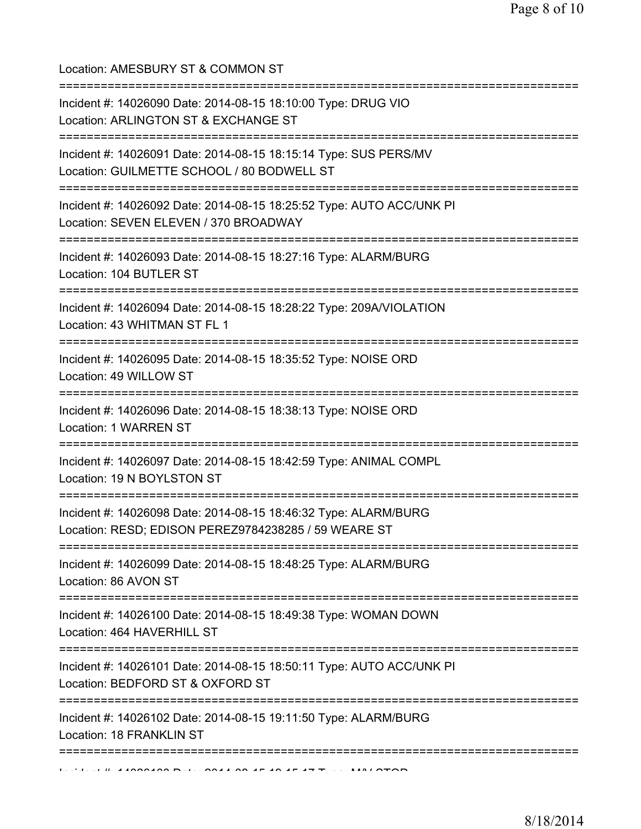| Location: AMESBURY ST & COMMON ST<br>====================================                                                                  |
|--------------------------------------------------------------------------------------------------------------------------------------------|
| Incident #: 14026090 Date: 2014-08-15 18:10:00 Type: DRUG VIO<br>Location: ARLINGTON ST & EXCHANGE ST                                      |
| Incident #: 14026091 Date: 2014-08-15 18:15:14 Type: SUS PERS/MV<br>Location: GUILMETTE SCHOOL / 80 BODWELL ST                             |
| Incident #: 14026092 Date: 2014-08-15 18:25:52 Type: AUTO ACC/UNK PI<br>Location: SEVEN ELEVEN / 370 BROADWAY                              |
| Incident #: 14026093 Date: 2014-08-15 18:27:16 Type: ALARM/BURG<br>Location: 104 BUTLER ST                                                 |
| Incident #: 14026094 Date: 2014-08-15 18:28:22 Type: 209A/VIOLATION<br>Location: 43 WHITMAN ST FL 1                                        |
| Incident #: 14026095 Date: 2014-08-15 18:35:52 Type: NOISE ORD<br>Location: 49 WILLOW ST                                                   |
| Incident #: 14026096 Date: 2014-08-15 18:38:13 Type: NOISE ORD<br>Location: 1 WARREN ST<br>======================================          |
| Incident #: 14026097 Date: 2014-08-15 18:42:59 Type: ANIMAL COMPL<br>Location: 19 N BOYLSTON ST                                            |
| Incident #: 14026098 Date: 2014-08-15 18:46:32 Type: ALARM/BURG<br>Location: RESD; EDISON PEREZ9784238285 / 59 WEARE ST                    |
| Incident #: 14026099 Date: 2014-08-15 18:48:25 Type: ALARM/BURG<br>Location: 86 AVON ST                                                    |
| Incident #: 14026100 Date: 2014-08-15 18:49:38 Type: WOMAN DOWN<br>Location: 464 HAVERHILL ST                                              |
| Incident #: 14026101 Date: 2014-08-15 18:50:11 Type: AUTO ACC/UNK PI<br>Location: BEDFORD ST & OXFORD ST                                   |
| =========================<br>==============<br>Incident #: 14026102 Date: 2014-08-15 19:11:50 Type: ALARM/BURG<br>Location: 18 FRANKLIN ST |
|                                                                                                                                            |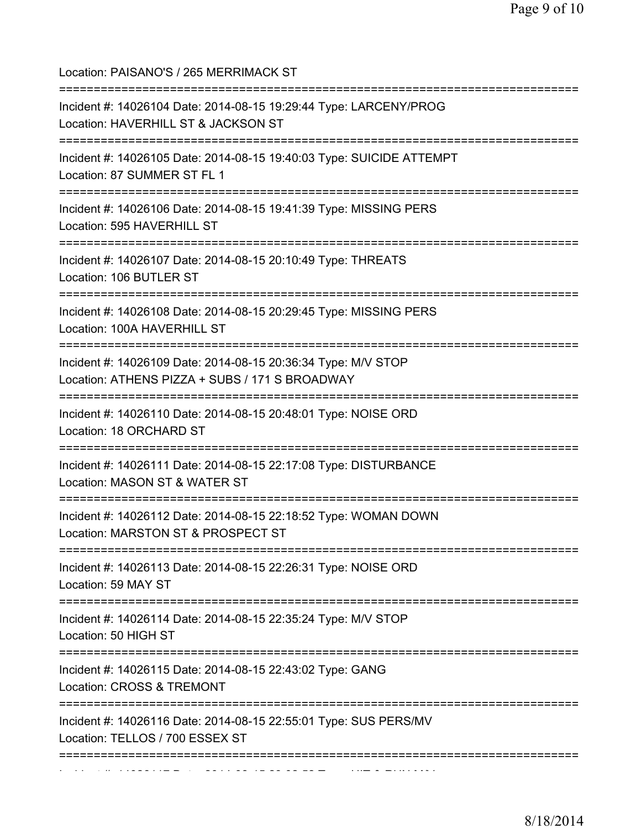| Location: PAISANO'S / 265 MERRIMACK ST<br>====================================                                                             |
|--------------------------------------------------------------------------------------------------------------------------------------------|
| Incident #: 14026104 Date: 2014-08-15 19:29:44 Type: LARCENY/PROG<br>Location: HAVERHILL ST & JACKSON ST<br>:====================          |
| Incident #: 14026105 Date: 2014-08-15 19:40:03 Type: SUICIDE ATTEMPT<br>Location: 87 SUMMER ST FL 1                                        |
| Incident #: 14026106 Date: 2014-08-15 19:41:39 Type: MISSING PERS<br>Location: 595 HAVERHILL ST                                            |
| Incident #: 14026107 Date: 2014-08-15 20:10:49 Type: THREATS<br>Location: 106 BUTLER ST                                                    |
| ======================================<br>Incident #: 14026108 Date: 2014-08-15 20:29:45 Type: MISSING PERS<br>Location: 100A HAVERHILL ST |
| Incident #: 14026109 Date: 2014-08-15 20:36:34 Type: M/V STOP<br>Location: ATHENS PIZZA + SUBS / 171 S BROADWAY<br>----------------------  |
| Incident #: 14026110 Date: 2014-08-15 20:48:01 Type: NOISE ORD<br>Location: 18 ORCHARD ST                                                  |
| Incident #: 14026111 Date: 2014-08-15 22:17:08 Type: DISTURBANCE<br>Location: MASON ST & WATER ST                                          |
| Incident #: 14026112 Date: 2014-08-15 22:18:52 Type: WOMAN DOWN<br>Location: MARSTON ST & PROSPECT ST                                      |
| Incident #: 14026113 Date: 2014-08-15 22:26:31 Type: NOISE ORD<br>Location: 59 MAY ST<br>:===========                                      |
| Incident #: 14026114 Date: 2014-08-15 22:35:24 Type: M/V STOP<br>Location: 50 HIGH ST                                                      |
| Incident #: 14026115 Date: 2014-08-15 22:43:02 Type: GANG<br>Location: CROSS & TREMONT                                                     |
| Incident #: 14026116 Date: 2014-08-15 22:55:01 Type: SUS PERS/MV<br>Location: TELLOS / 700 ESSEX ST                                        |
|                                                                                                                                            |